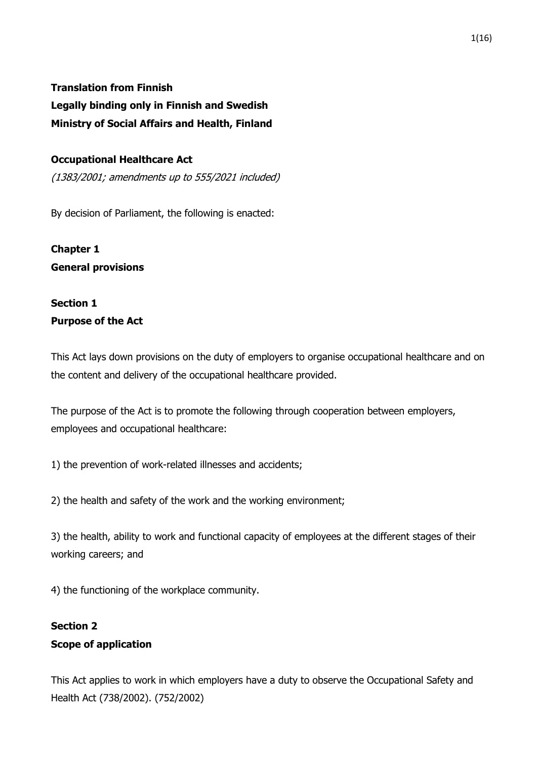### **Translation from Finnish**

**Legally binding only in Finnish and Swedish Ministry of Social Affairs and Health, Finland**

### **Occupational Healthcare Act**

(1383/2001; amendments up to 555/2021 included)

By decision of Parliament, the following is enacted:

**Chapter 1 General provisions**

# **Section 1 Purpose of the Act**

This Act lays down provisions on the duty of employers to organise occupational healthcare and on the content and delivery of the occupational healthcare provided.

The purpose of the Act is to promote the following through cooperation between employers, employees and occupational healthcare:

1) the prevention of work-related illnesses and accidents;

2) the health and safety of the work and the working environment;

3) the health, ability to work and functional capacity of employees at the different stages of their working careers; and

4) the functioning of the workplace community.

# **Section 2 Scope of application**

This Act applies to work in which employers have a duty to observe the Occupational Safety and Health Act (738/2002). (752/2002)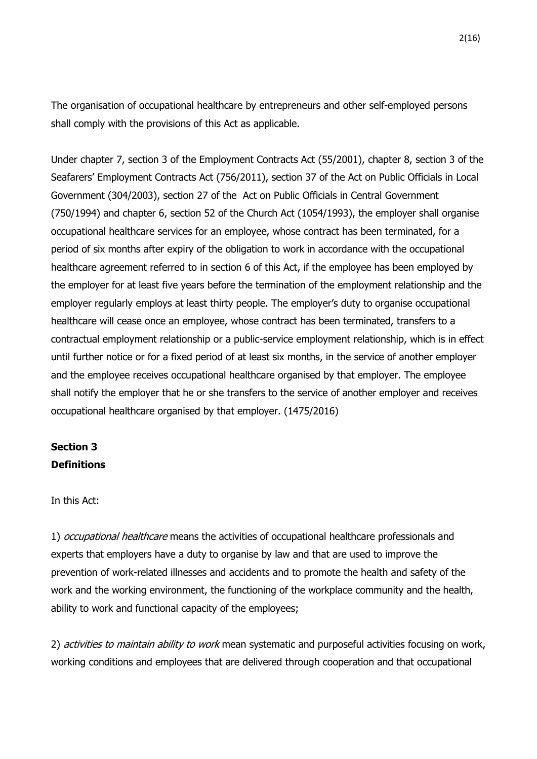The organisation of occupational healthcare by entrepreneurs and other self-employed persons shall comply with the provisions of this Act as applicable.

Under chapter 7, section 3 of the Employment Contracts Act (55/2001), chapter 8, section 3 of the Seafarers' Employment Contracts Act (756/2011), section 37 of the Act on Public Officials in Local Government (304/2003), section 27 of the Act on Public Officials in Central Government (750/1994) and chapter 6, section 52 of the Church Act (1054/1993), the employer shall organise occupational healthcare services for an employee, whose contract has been terminated, for a period of six months after expiry of the obligation to work in accordance with the occupational healthcare agreement referred to in section 6 of this Act, if the employee has been employed by the employer for at least five years before the termination of the employment relationship and the employer regularly employs at least thirty people. The employer's duty to organise occupational healthcare will cease once an employee, whose contract has been terminated, transfers to a contractual employment relationship or a public-service employment relationship, which is in effect until further notice or for a fixed period of at least six months, in the service of another employer and the employee receives occupational healthcare organised by that employer. The employee shall notify the employer that he or she transfers to the service of another employer and receives occupational healthcare organised by that employer. (1475/2016)

## **Section 3 Definitions**

In this Act:

1) occupational healthcare means the activities of occupational healthcare professionals and experts that employers have a duty to organise by law and that are used to improve the prevention of work-related illnesses and accidents and to promote the health and safety of the work and the working environment, the functioning of the workplace community and the health, ability to work and functional capacity of the employees;

2) activities to maintain ability to work mean systematic and purposeful activities focusing on work, working conditions and employees that are delivered through cooperation and that occupational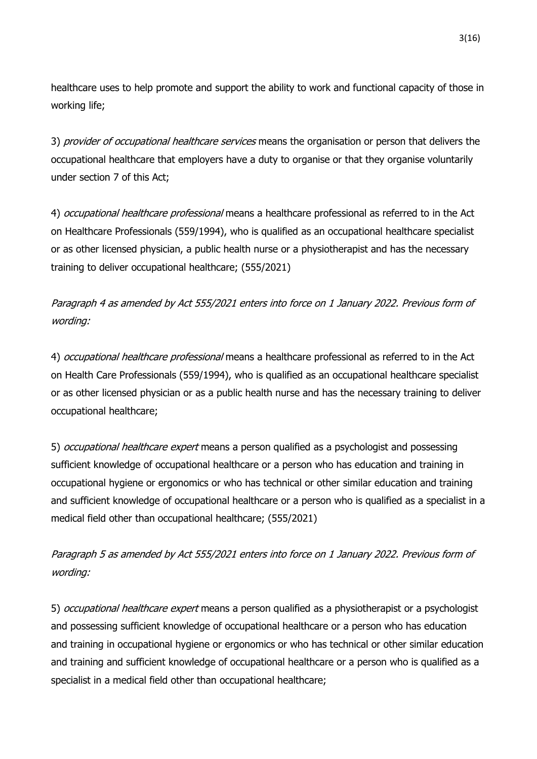healthcare uses to help promote and support the ability to work and functional capacity of those in working life;

3) *provider of occupational healthcare services* means the organisation or person that delivers the occupational healthcare that employers have a duty to organise or that they organise voluntarily under section 7 of this Act;

4) occupational healthcare professional means a healthcare professional as referred to in the Act on Healthcare Professionals (559/1994), who is qualified as an occupational healthcare specialist or as other licensed physician, a public health nurse or a physiotherapist and has the necessary training to deliver occupational healthcare; (555/2021)

Paragraph 4 as amended by Act 555/2021 enters into force on 1 January 2022. Previous form of wording:

4) occupational healthcare professional means a healthcare professional as referred to in the Act on Health Care Professionals (559/1994), who is qualified as an occupational healthcare specialist or as other licensed physician or as a public health nurse and has the necessary training to deliver occupational healthcare;

5) *occupational healthcare expert* means a person qualified as a psychologist and possessing sufficient knowledge of occupational healthcare or a person who has education and training in occupational hygiene or ergonomics or who has technical or other similar education and training and sufficient knowledge of occupational healthcare or a person who is qualified as a specialist in a medical field other than occupational healthcare; (555/2021)

Paragraph 5 as amended by Act 555/2021 enters into force on 1 January 2022. Previous form of wording:

5) *occupational healthcare expert* means a person qualified as a physiotherapist or a psychologist and possessing sufficient knowledge of occupational healthcare or a person who has education and training in occupational hygiene or ergonomics or who has technical or other similar education and training and sufficient knowledge of occupational healthcare or a person who is qualified as a specialist in a medical field other than occupational healthcare;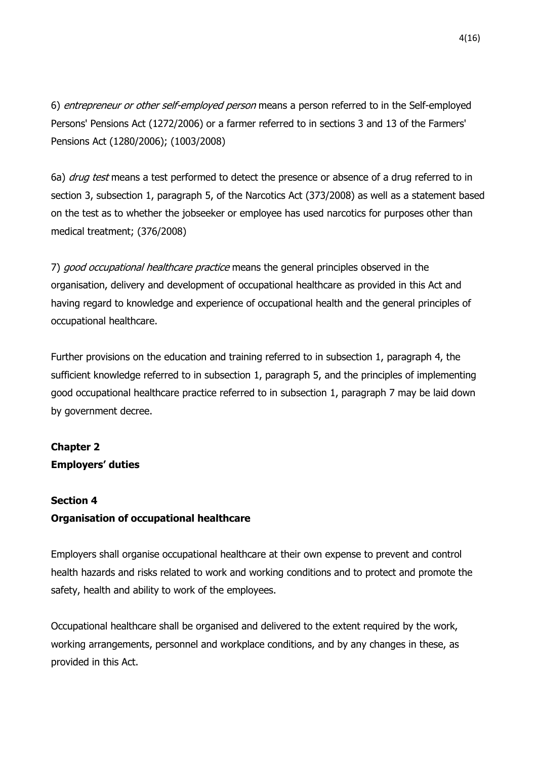6) entrepreneur or other self-employed person means a person referred to in the Self-employed Persons' Pensions Act (1272/2006) or a farmer referred to in sections 3 and 13 of the Farmers' Pensions Act (1280/2006); (1003/2008)

6a) *drug test* means a test performed to detect the presence or absence of a drug referred to in section 3, subsection 1, paragraph 5, of the Narcotics Act (373/2008) as well as a statement based on the test as to whether the jobseeker or employee has used narcotics for purposes other than medical treatment; (376/2008)

7) good occupational healthcare practice means the general principles observed in the organisation, delivery and development of occupational healthcare as provided in this Act and having regard to knowledge and experience of occupational health and the general principles of occupational healthcare.

Further provisions on the education and training referred to in subsection 1, paragraph 4, the sufficient knowledge referred to in subsection 1, paragraph 5, and the principles of implementing good occupational healthcare practice referred to in subsection 1, paragraph 7 may be laid down by government decree.

# **Chapter 2 Employers' duties**

### **Section 4**

### **Organisation of occupational healthcare**

Employers shall organise occupational healthcare at their own expense to prevent and control health hazards and risks related to work and working conditions and to protect and promote the safety, health and ability to work of the employees.

Occupational healthcare shall be organised and delivered to the extent required by the work, working arrangements, personnel and workplace conditions, and by any changes in these, as provided in this Act.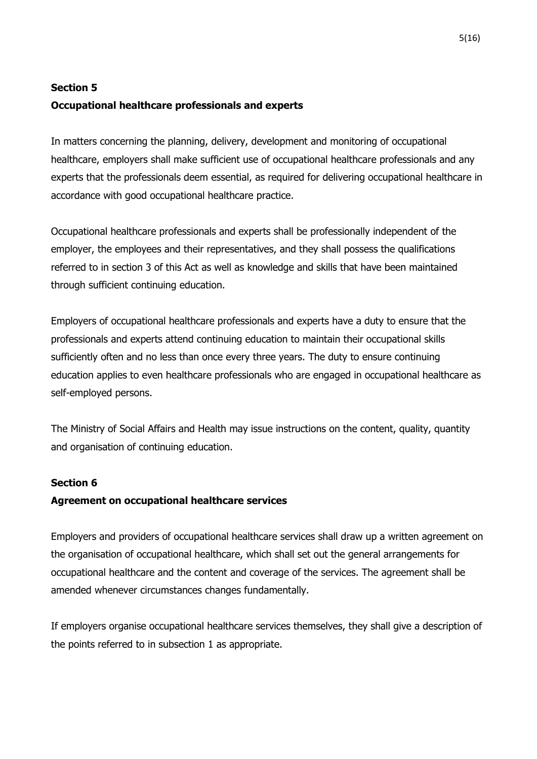### **Section 5**

### **Occupational healthcare professionals and experts**

In matters concerning the planning, delivery, development and monitoring of occupational healthcare, employers shall make sufficient use of occupational healthcare professionals and any experts that the professionals deem essential, as required for delivering occupational healthcare in accordance with good occupational healthcare practice.

Occupational healthcare professionals and experts shall be professionally independent of the employer, the employees and their representatives, and they shall possess the qualifications referred to in section 3 of this Act as well as knowledge and skills that have been maintained through sufficient continuing education.

Employers of occupational healthcare professionals and experts have a duty to ensure that the professionals and experts attend continuing education to maintain their occupational skills sufficiently often and no less than once every three years. The duty to ensure continuing education applies to even healthcare professionals who are engaged in occupational healthcare as self-employed persons.

The Ministry of Social Affairs and Health may issue instructions on the content, quality, quantity and organisation of continuing education.

### **Section 6**

### **Agreement on occupational healthcare services**

Employers and providers of occupational healthcare services shall draw up a written agreement on the organisation of occupational healthcare, which shall set out the general arrangements for occupational healthcare and the content and coverage of the services. The agreement shall be amended whenever circumstances changes fundamentally.

If employers organise occupational healthcare services themselves, they shall give a description of the points referred to in subsection 1 as appropriate.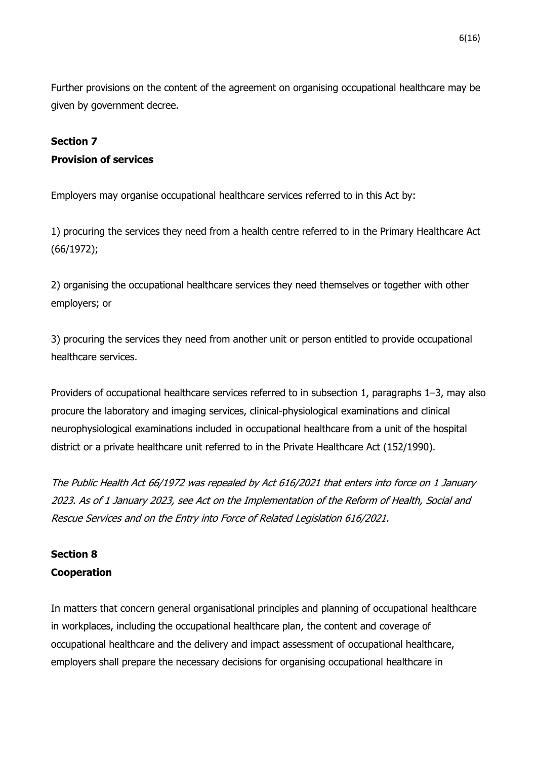Further provisions on the content of the agreement on organising occupational healthcare may be given by government decree.

### **Section 7**

### **Provision of services**

Employers may organise occupational healthcare services referred to in this Act by:

1) procuring the services they need from a health centre referred to in the Primary Healthcare Act (66/1972);

2) organising the occupational healthcare services they need themselves or together with other employers; or

3) procuring the services they need from another unit or person entitled to provide occupational healthcare services.

Providers of occupational healthcare services referred to in subsection 1, paragraphs 1–3, may also procure the laboratory and imaging services, clinical-physiological examinations and clinical neurophysiological examinations included in occupational healthcare from a unit of the hospital district or a private healthcare unit referred to in the Private Healthcare Act (152/1990).

The Public Health Act 66/1972 was repealed by Act 616/2021 that enters into force on 1 January 2023. As of 1 January 2023, see Act on the Implementation of the Reform of Health, Social and Rescue Services and on the Entry into Force of Related Legislation 616/2021.

### **Section 8 Cooperation**

In matters that concern general organisational principles and planning of occupational healthcare in workplaces, including the occupational healthcare plan, the content and coverage of occupational healthcare and the delivery and impact assessment of occupational healthcare, employers shall prepare the necessary decisions for organising occupational healthcare in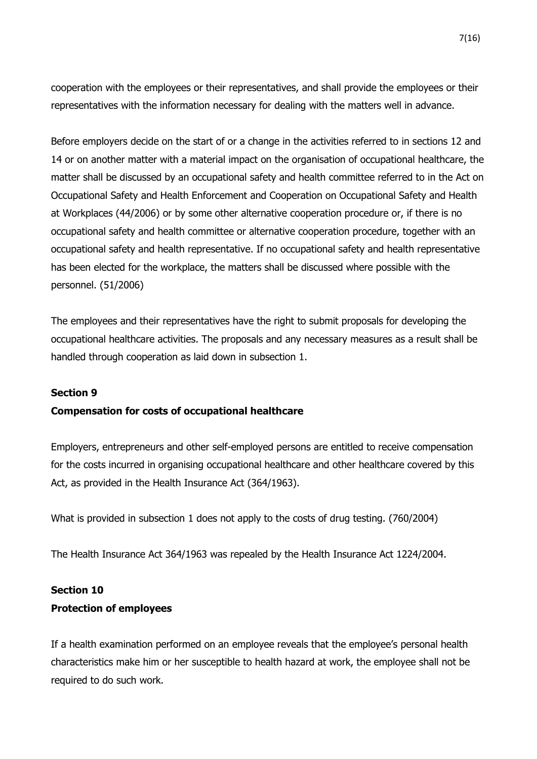cooperation with the employees or their representatives, and shall provide the employees or their representatives with the information necessary for dealing with the matters well in advance.

Before employers decide on the start of or a change in the activities referred to in sections 12 and 14 or on another matter with a material impact on the organisation of occupational healthcare, the matter shall be discussed by an occupational safety and health committee referred to in the Act on Occupational Safety and Health Enforcement and Cooperation on Occupational Safety and Health at Workplaces (44/2006) or by some other alternative cooperation procedure or, if there is no occupational safety and health committee or alternative cooperation procedure, together with an occupational safety and health representative. If no occupational safety and health representative has been elected for the workplace, the matters shall be discussed where possible with the personnel. (51/2006)

The employees and their representatives have the right to submit proposals for developing the occupational healthcare activities. The proposals and any necessary measures as a result shall be handled through cooperation as laid down in subsection 1.

#### **Section 9**

#### **Compensation for costs of occupational healthcare**

Employers, entrepreneurs and other self-employed persons are entitled to receive compensation for the costs incurred in organising occupational healthcare and other healthcare covered by this Act, as provided in the Health Insurance Act (364/1963).

What is provided in subsection 1 does not apply to the costs of drug testing. (760/2004)

The Health Insurance Act 364/1963 was repealed by the Health Insurance Act 1224/2004.

# **Section 10 Protection of employees**

If a health examination performed on an employee reveals that the employee's personal health characteristics make him or her susceptible to health hazard at work, the employee shall not be required to do such work.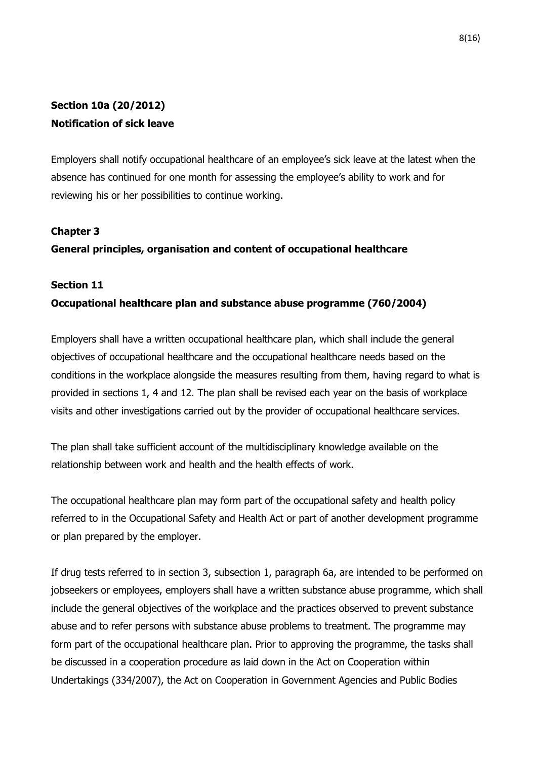# **Section 10a (20/2012) Notification of sick leave**

Employers shall notify occupational healthcare of an employee's sick leave at the latest when the absence has continued for one month for assessing the employee's ability to work and for reviewing his or her possibilities to continue working.

### **Chapter 3**

### **General principles, organisation and content of occupational healthcare**

#### **Section 11**

### **Occupational healthcare plan and substance abuse programme (760/2004)**

Employers shall have a written occupational healthcare plan, which shall include the general objectives of occupational healthcare and the occupational healthcare needs based on the conditions in the workplace alongside the measures resulting from them, having regard to what is provided in sections 1, 4 and 12. The plan shall be revised each year on the basis of workplace visits and other investigations carried out by the provider of occupational healthcare services.

The plan shall take sufficient account of the multidisciplinary knowledge available on the relationship between work and health and the health effects of work.

The occupational healthcare plan may form part of the occupational safety and health policy referred to in the Occupational Safety and Health Act or part of another development programme or plan prepared by the employer.

If drug tests referred to in section 3, subsection 1, paragraph 6a, are intended to be performed on jobseekers or employees, employers shall have a written substance abuse programme, which shall include the general objectives of the workplace and the practices observed to prevent substance abuse and to refer persons with substance abuse problems to treatment. The programme may form part of the occupational healthcare plan. Prior to approving the programme, the tasks shall be discussed in a cooperation procedure as laid down in the Act on Cooperation within Undertakings (334/2007), the Act on Cooperation in Government Agencies and Public Bodies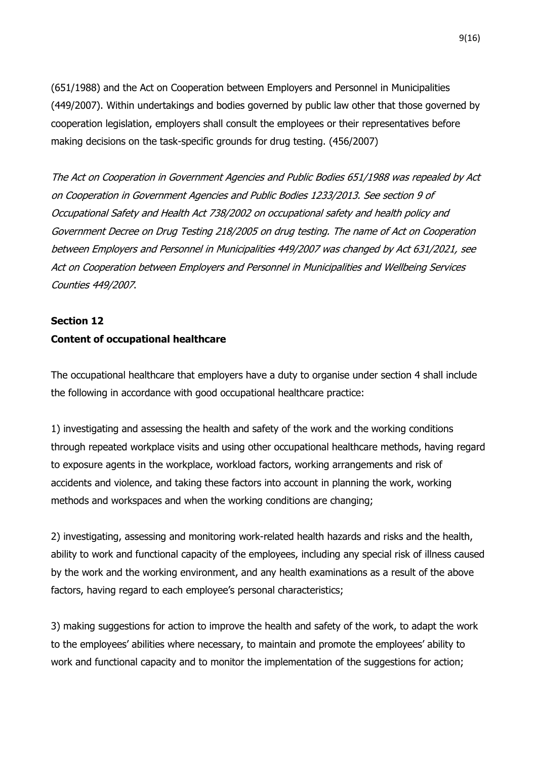(651/1988) and the Act on Cooperation between Employers and Personnel in Municipalities (449/2007). Within undertakings and bodies governed by public law other that those governed by cooperation legislation, employers shall consult the employees or their representatives before making decisions on the task-specific grounds for drug testing. (456/2007)

The Act on Cooperation in Government Agencies and Public Bodies 651/1988 was repealed by Act on Cooperation in Government Agencies and Public Bodies 1233/2013. See section 9 of Occupational Safety and Health Act 738/2002 on occupational safety and health policy and Government Decree on Drug Testing 218/2005 on drug testing. The name of Act on Cooperation between Employers and Personnel in Municipalities 449/2007 was changed by Act 631/2021, see Act on Cooperation between Employers and Personnel in Municipalities and Wellbeing Services Counties 449/2007.

# **Section 12 Content of occupational healthcare**

The occupational healthcare that employers have a duty to organise under section 4 shall include the following in accordance with good occupational healthcare practice:

1) investigating and assessing the health and safety of the work and the working conditions through repeated workplace visits and using other occupational healthcare methods, having regard to exposure agents in the workplace, workload factors, working arrangements and risk of accidents and violence, and taking these factors into account in planning the work, working methods and workspaces and when the working conditions are changing;

2) investigating, assessing and monitoring work-related health hazards and risks and the health, ability to work and functional capacity of the employees, including any special risk of illness caused by the work and the working environment, and any health examinations as a result of the above factors, having regard to each employee's personal characteristics;

3) making suggestions for action to improve the health and safety of the work, to adapt the work to the employees' abilities where necessary, to maintain and promote the employees' ability to work and functional capacity and to monitor the implementation of the suggestions for action;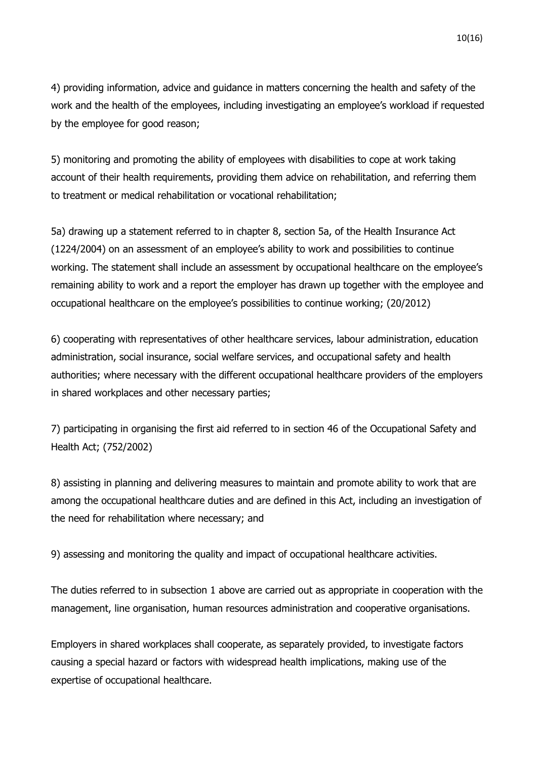4) providing information, advice and guidance in matters concerning the health and safety of the work and the health of the employees, including investigating an employee's workload if requested by the employee for good reason;

5) monitoring and promoting the ability of employees with disabilities to cope at work taking account of their health requirements, providing them advice on rehabilitation, and referring them to treatment or medical rehabilitation or vocational rehabilitation;

5a) drawing up a statement referred to in chapter 8, section 5a, of the Health Insurance Act (1224/2004) on an assessment of an employee's ability to work and possibilities to continue working. The statement shall include an assessment by occupational healthcare on the employee's remaining ability to work and a report the employer has drawn up together with the employee and occupational healthcare on the employee's possibilities to continue working; (20/2012)

6) cooperating with representatives of other healthcare services, labour administration, education administration, social insurance, social welfare services, and occupational safety and health authorities; where necessary with the different occupational healthcare providers of the employers in shared workplaces and other necessary parties;

7) participating in organising the first aid referred to in section 46 of the Occupational Safety and Health Act; (752/2002)

8) assisting in planning and delivering measures to maintain and promote ability to work that are among the occupational healthcare duties and are defined in this Act, including an investigation of the need for rehabilitation where necessary; and

9) assessing and monitoring the quality and impact of occupational healthcare activities.

The duties referred to in subsection 1 above are carried out as appropriate in cooperation with the management, line organisation, human resources administration and cooperative organisations.

Employers in shared workplaces shall cooperate, as separately provided, to investigate factors causing a special hazard or factors with widespread health implications, making use of the expertise of occupational healthcare.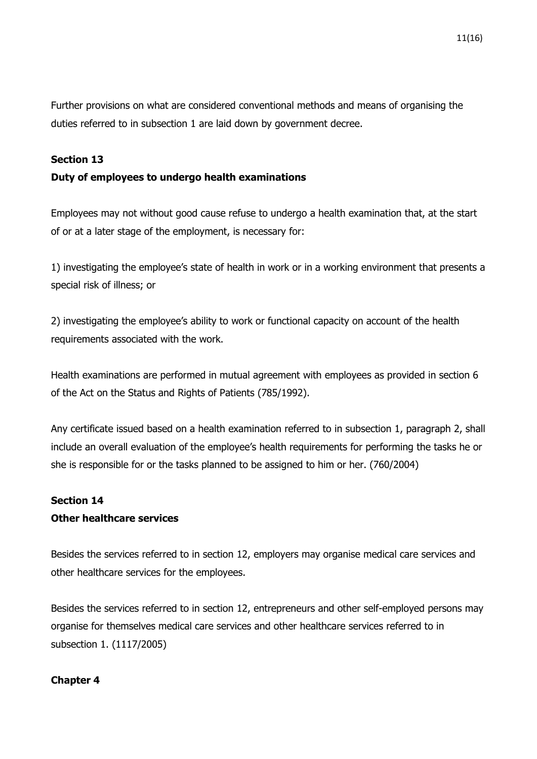Further provisions on what are considered conventional methods and means of organising the duties referred to in subsection 1 are laid down by government decree.

### **Section 13**

### **Duty of employees to undergo health examinations**

Employees may not without good cause refuse to undergo a health examination that, at the start of or at a later stage of the employment, is necessary for:

1) investigating the employee's state of health in work or in a working environment that presents a special risk of illness; or

2) investigating the employee's ability to work or functional capacity on account of the health requirements associated with the work.

Health examinations are performed in mutual agreement with employees as provided in section 6 of the Act on the Status and Rights of Patients (785/1992).

Any certificate issued based on a health examination referred to in subsection 1, paragraph 2, shall include an overall evaluation of the employee's health requirements for performing the tasks he or she is responsible for or the tasks planned to be assigned to him or her. (760/2004)

### **Section 14 Other healthcare services**

Besides the services referred to in section 12, employers may organise medical care services and other healthcare services for the employees.

Besides the services referred to in section 12, entrepreneurs and other self-employed persons may organise for themselves medical care services and other healthcare services referred to in subsection 1. (1117/2005)

### **Chapter 4**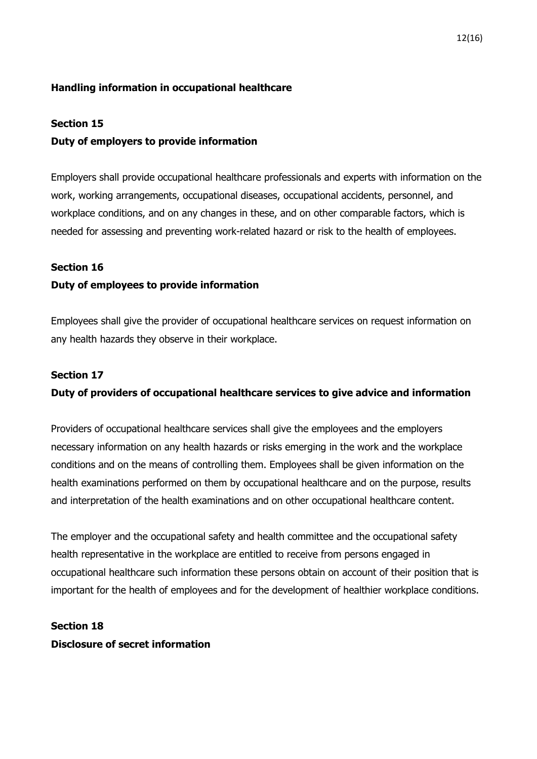### **Handling information in occupational healthcare**

#### **Section 15**

### **Duty of employers to provide information**

Employers shall provide occupational healthcare professionals and experts with information on the work, working arrangements, occupational diseases, occupational accidents, personnel, and workplace conditions, and on any changes in these, and on other comparable factors, which is needed for assessing and preventing work-related hazard or risk to the health of employees.

### **Section 16**

### **Duty of employees to provide information**

Employees shall give the provider of occupational healthcare services on request information on any health hazards they observe in their workplace.

### **Section 17**

### **Duty of providers of occupational healthcare services to give advice and information**

Providers of occupational healthcare services shall give the employees and the employers necessary information on any health hazards or risks emerging in the work and the workplace conditions and on the means of controlling them. Employees shall be given information on the health examinations performed on them by occupational healthcare and on the purpose, results and interpretation of the health examinations and on other occupational healthcare content.

The employer and the occupational safety and health committee and the occupational safety health representative in the workplace are entitled to receive from persons engaged in occupational healthcare such information these persons obtain on account of their position that is important for the health of employees and for the development of healthier workplace conditions.

# **Section 18 Disclosure of secret information**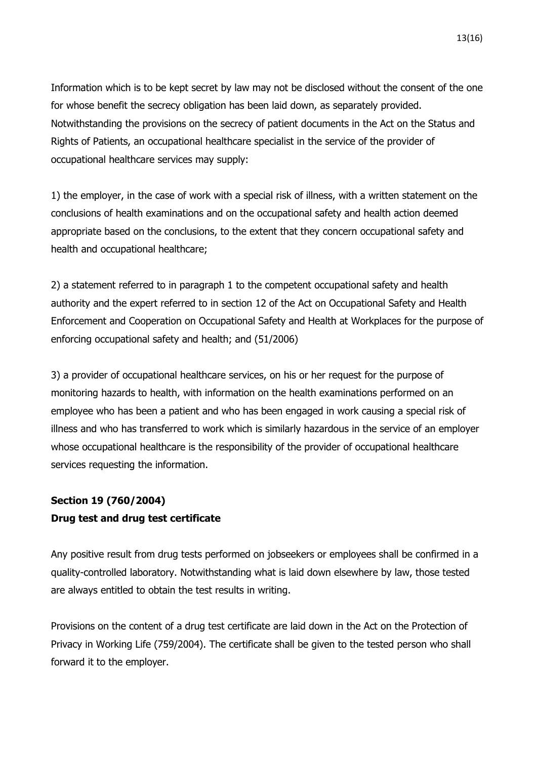Information which is to be kept secret by law may not be disclosed without the consent of the one for whose benefit the secrecy obligation has been laid down, as separately provided. Notwithstanding the provisions on the secrecy of patient documents in the Act on the Status and Rights of Patients, an occupational healthcare specialist in the service of the provider of occupational healthcare services may supply:

1) the employer, in the case of work with a special risk of illness, with a written statement on the conclusions of health examinations and on the occupational safety and health action deemed appropriate based on the conclusions, to the extent that they concern occupational safety and health and occupational healthcare;

2) a statement referred to in paragraph 1 to the competent occupational safety and health authority and the expert referred to in section 12 of the Act on Occupational Safety and Health Enforcement and Cooperation on Occupational Safety and Health at Workplaces for the purpose of enforcing occupational safety and health; and (51/2006)

3) a provider of occupational healthcare services, on his or her request for the purpose of monitoring hazards to health, with information on the health examinations performed on an employee who has been a patient and who has been engaged in work causing a special risk of illness and who has transferred to work which is similarly hazardous in the service of an employer whose occupational healthcare is the responsibility of the provider of occupational healthcare services requesting the information.

# **Section 19 (760/2004) Drug test and drug test certificate**

Any positive result from drug tests performed on jobseekers or employees shall be confirmed in a quality-controlled laboratory. Notwithstanding what is laid down elsewhere by law, those tested are always entitled to obtain the test results in writing.

Provisions on the content of a drug test certificate are laid down in the Act on the Protection of Privacy in Working Life (759/2004). The certificate shall be given to the tested person who shall forward it to the employer.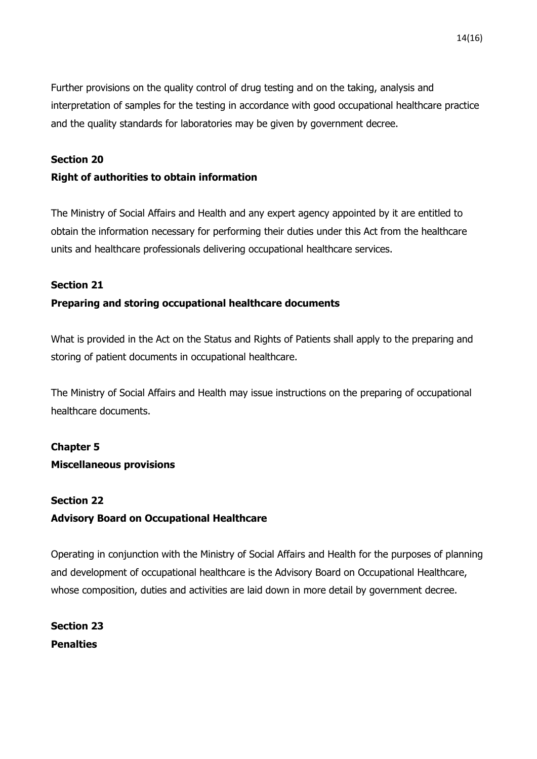Further provisions on the quality control of drug testing and on the taking, analysis and interpretation of samples for the testing in accordance with good occupational healthcare practice and the quality standards for laboratories may be given by government decree.

### **Section 20**

### **Right of authorities to obtain information**

The Ministry of Social Affairs and Health and any expert agency appointed by it are entitled to obtain the information necessary for performing their duties under this Act from the healthcare units and healthcare professionals delivering occupational healthcare services.

### **Section 21**

### **Preparing and storing occupational healthcare documents**

What is provided in the Act on the Status and Rights of Patients shall apply to the preparing and storing of patient documents in occupational healthcare.

The Ministry of Social Affairs and Health may issue instructions on the preparing of occupational healthcare documents.

# **Chapter 5**

### **Miscellaneous provisions**

# **Section 22 Advisory Board on Occupational Healthcare**

Operating in conjunction with the Ministry of Social Affairs and Health for the purposes of planning and development of occupational healthcare is the Advisory Board on Occupational Healthcare, whose composition, duties and activities are laid down in more detail by government decree.

**Section 23 Penalties**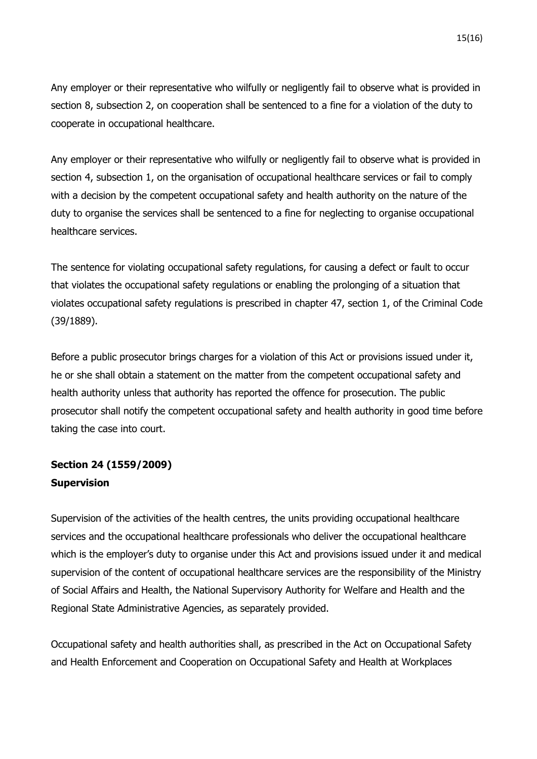15(16)

Any employer or their representative who wilfully or negligently fail to observe what is provided in section 8, subsection 2, on cooperation shall be sentenced to a fine for a violation of the duty to cooperate in occupational healthcare.

Any employer or their representative who wilfully or negligently fail to observe what is provided in section 4, subsection 1, on the organisation of occupational healthcare services or fail to comply with a decision by the competent occupational safety and health authority on the nature of the duty to organise the services shall be sentenced to a fine for neglecting to organise occupational healthcare services.

The sentence for violating occupational safety regulations, for causing a defect or fault to occur that violates the occupational safety regulations or enabling the prolonging of a situation that violates occupational safety regulations is prescribed in chapter 47, section 1, of the Criminal Code (39/1889).

Before a public prosecutor brings charges for a violation of this Act or provisions issued under it, he or she shall obtain a statement on the matter from the competent occupational safety and health authority unless that authority has reported the offence for prosecution. The public prosecutor shall notify the competent occupational safety and health authority in good time before taking the case into court.

# **Section 24 (1559/2009) Supervision**

Supervision of the activities of the health centres, the units providing occupational healthcare services and the occupational healthcare professionals who deliver the occupational healthcare which is the employer's duty to organise under this Act and provisions issued under it and medical supervision of the content of occupational healthcare services are the responsibility of the Ministry of Social Affairs and Health, the National Supervisory Authority for Welfare and Health and the Regional State Administrative Agencies, as separately provided.

Occupational safety and health authorities shall, as prescribed in the Act on Occupational Safety and Health Enforcement and Cooperation on Occupational Safety and Health at Workplaces